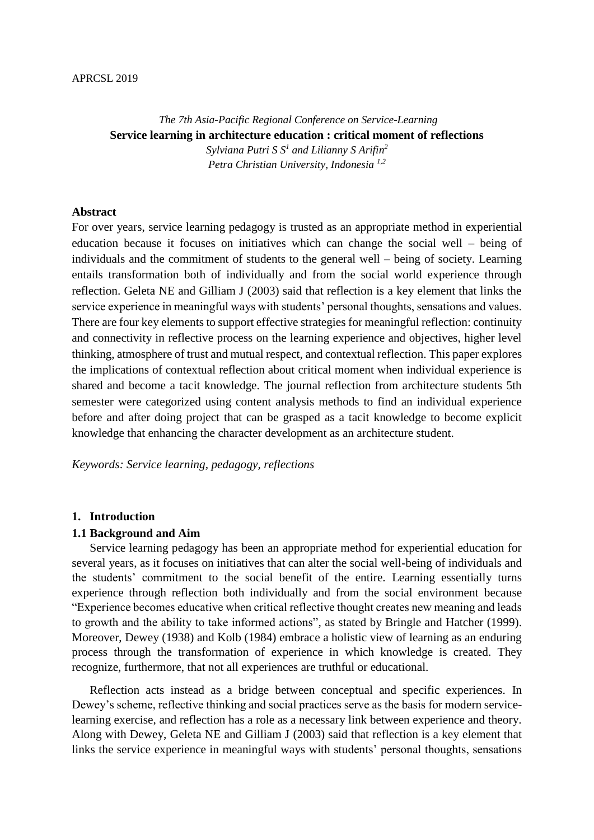*The 7th Asia-Pacific Regional Conference on Service-Learning* **Service learning in architecture education : critical moment of reflections** *Sylviana Putri S S<sup>1</sup> and Lilianny S Arifin<sup>2</sup> Petra Christian University, Indonesia 1,2*

## **Abstract**

For over years, service learning pedagogy is trusted as an appropriate method in experiential education because it focuses on initiatives which can change the social well – being of individuals and the commitment of students to the general well – being of society. Learning entails transformation both of individually and from the social world experience through reflection. Geleta NE and Gilliam J (2003) said that reflection is a key element that links the service experience in meaningful ways with students' personal thoughts, sensations and values. There are four key elements to support effective strategies for meaningful reflection: continuity and connectivity in reflective process on the learning experience and objectives, higher level thinking, atmosphere of trust and mutual respect, and contextual reflection. This paper explores the implications of contextual reflection about critical moment when individual experience is shared and become a tacit knowledge. The journal reflection from architecture students 5th semester were categorized using content analysis methods to find an individual experience before and after doing project that can be grasped as a tacit knowledge to become explicit knowledge that enhancing the character development as an architecture student.

*Keywords: Service learning, pedagogy, reflections*

#### **1. Introduction**

#### **1.1 Background and Aim**

Service learning pedagogy has been an appropriate method for experiential education for several years, as it focuses on initiatives that can alter the social well-being of individuals and the students' commitment to the social benefit of the entire. Learning essentially turns experience through reflection both individually and from the social environment because "Experience becomes educative when critical reflective thought creates new meaning and leads to growth and the ability to take informed actions", as stated by Bringle and Hatcher (1999). Moreover, Dewey (1938) and Kolb (1984) embrace a holistic view of learning as an enduring process through the transformation of experience in which knowledge is created. They recognize, furthermore, that not all experiences are truthful or educational.

Reflection acts instead as a bridge between conceptual and specific experiences. In Dewey's scheme, reflective thinking and social practices serve as the basis for modern servicelearning exercise, and reflection has a role as a necessary link between experience and theory. Along with Dewey, Geleta NE and Gilliam J (2003) said that reflection is a key element that links the service experience in meaningful ways with students' personal thoughts, sensations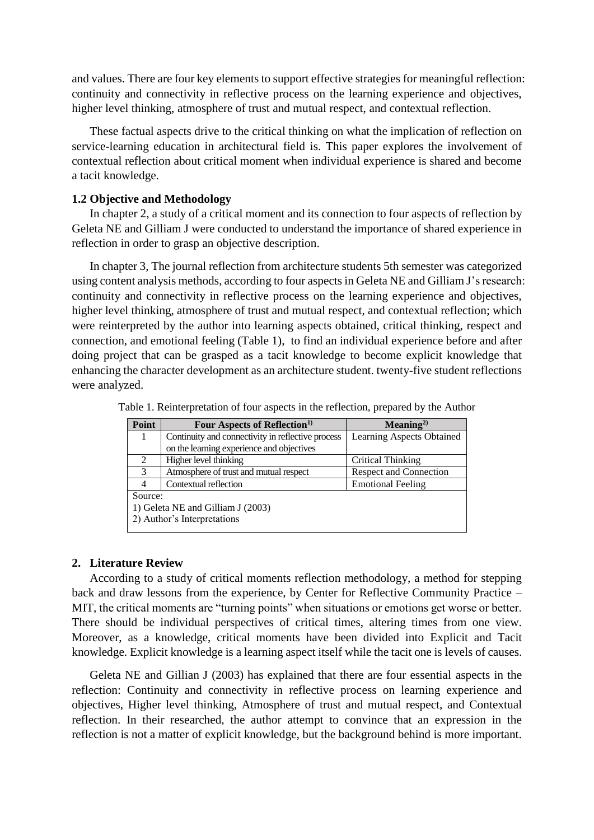and values. There are four key elements to support effective strategies for meaningful reflection: continuity and connectivity in reflective process on the learning experience and objectives, higher level thinking, atmosphere of trust and mutual respect, and contextual reflection.

These factual aspects drive to the critical thinking on what the implication of reflection on service-learning education in architectural field is. This paper explores the involvement of contextual reflection about critical moment when individual experience is shared and become a tacit knowledge.

#### **1.2 Objective and Methodology**

In chapter 2, a study of a critical moment and its connection to four aspects of reflection by Geleta NE and Gilliam J were conducted to understand the importance of shared experience in reflection in order to grasp an objective description.

In chapter 3, The journal reflection from architecture students 5th semester was categorized using content analysis methods, according to four aspects in Geleta NE and Gilliam J's research: continuity and connectivity in reflective process on the learning experience and objectives, higher level thinking, atmosphere of trust and mutual respect, and contextual reflection; which were reinterpreted by the author into learning aspects obtained, critical thinking, respect and connection, and emotional feeling (Table 1), to find an individual experience before and after doing project that can be grasped as a tacit knowledge to become explicit knowledge that enhancing the character development as an architecture student. twenty-five student reflections were analyzed.

| Point                             | Four Aspects of Reflection <sup>1)</sup>          | Meaning <sup>2</sup>      |  |  |  |  |
|-----------------------------------|---------------------------------------------------|---------------------------|--|--|--|--|
|                                   | Continuity and connectivity in reflective process | Learning Aspects Obtained |  |  |  |  |
|                                   | on the learning experience and objectives         |                           |  |  |  |  |
| 2                                 | Higher level thinking                             | Critical Thinking         |  |  |  |  |
| 3                                 | Atmosphere of trust and mutual respect            | Respect and Connection    |  |  |  |  |
|                                   | Contextual reflection                             | <b>Emotional Feeling</b>  |  |  |  |  |
| Source:                           |                                                   |                           |  |  |  |  |
| 1) Geleta NE and Gilliam J (2003) |                                                   |                           |  |  |  |  |
| 2) Author's Interpretations       |                                                   |                           |  |  |  |  |
|                                   |                                                   |                           |  |  |  |  |

Table 1. Reinterpretation of four aspects in the reflection, prepared by the Author

## **2. Literature Review**

According to a study of critical moments reflection methodology, a method for stepping back and draw lessons from the experience, by Center for Reflective Community Practice – MIT, the critical moments are "turning points" when situations or emotions get worse or better. There should be individual perspectives of critical times, altering times from one view. Moreover, as a knowledge, critical moments have been divided into Explicit and Tacit knowledge. Explicit knowledge is a learning aspect itself while the tacit one is levels of causes.

Geleta NE and Gillian J (2003) has explained that there are four essential aspects in the reflection: Continuity and connectivity in reflective process on learning experience and objectives, Higher level thinking, Atmosphere of trust and mutual respect, and Contextual reflection. In their researched, the author attempt to convince that an expression in the reflection is not a matter of explicit knowledge, but the background behind is more important.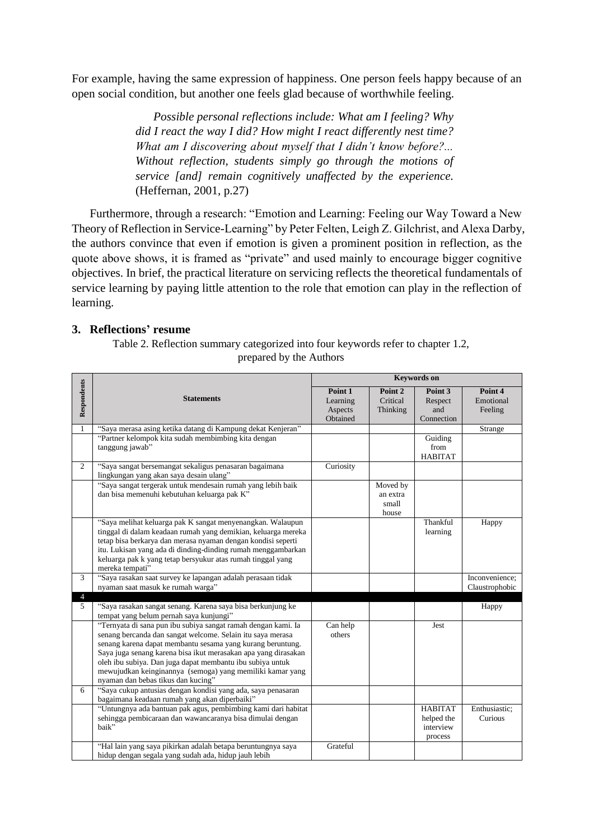For example, having the same expression of happiness. One person feels happy because of an open social condition, but another one feels glad because of worthwhile feeling.

> *Possible personal reflections include: What am I feeling? Why did I react the way I did? How might I react differently nest time? What am I discovering about myself that I didn't know before?... Without reflection, students simply go through the motions of service [and] remain cognitively unaffected by the experience.* (Heffernan, 2001, p.27)

Furthermore, through a research: "Emotion and Learning: Feeling our Way Toward a New Theory of Reflection in Service-Learning" by Peter Felten, Leigh Z. Gilchrist, and Alexa Darby, the authors convince that even if emotion is given a prominent position in reflection, as the quote above shows, it is framed as "private" and used mainly to encourage bigger cognitive objectives. In brief, the practical literature on servicing reflects the theoretical fundamentals of service learning by paying little attention to the role that emotion can play in the reflection of learning.

## **3. Reflections' resume**

Table 2. Reflection summary categorized into four keywords refer to chapter 1.2, prepared by the Authors

| Respondents         | <b>Statements</b>                                                                                                                                                                                                                                                                                                                                                                                                           | <b>Keywords</b> on                         |                                        |                                                      |                                  |  |
|---------------------|-----------------------------------------------------------------------------------------------------------------------------------------------------------------------------------------------------------------------------------------------------------------------------------------------------------------------------------------------------------------------------------------------------------------------------|--------------------------------------------|----------------------------------------|------------------------------------------------------|----------------------------------|--|
|                     |                                                                                                                                                                                                                                                                                                                                                                                                                             | Point 1<br>Learning<br>Aspects<br>Obtained | Point 2<br>Critical<br>Thinking        | Point 3<br>Respect<br>and<br>Connection              | Point 4<br>Emotional<br>Feeling  |  |
| $\mathbf{1}$        | "Saya merasa asing ketika datang di Kampung dekat Kenjeran"                                                                                                                                                                                                                                                                                                                                                                 |                                            |                                        |                                                      | Strange                          |  |
|                     | "Partner kelompok kita sudah membimbing kita dengan<br>tanggung jawab"                                                                                                                                                                                                                                                                                                                                                      |                                            |                                        | Guiding<br>from<br><b>HABITAT</b>                    |                                  |  |
| $\overline{2}$      | "Saya sangat bersemangat sekaligus penasaran bagaimana<br>lingkungan yang akan saya desain ulang"                                                                                                                                                                                                                                                                                                                           | Curiosity                                  |                                        |                                                      |                                  |  |
|                     | "Saya sangat tergerak untuk mendesain rumah yang lebih baik<br>dan bisa memenuhi kebutuhan keluarga pak K"                                                                                                                                                                                                                                                                                                                  |                                            | Moved by<br>an extra<br>small<br>house |                                                      |                                  |  |
|                     | "Saya melihat keluarga pak K sangat menyenangkan. Walaupun<br>tinggal di dalam keadaan rumah yang demikian, keluarga mereka<br>tetap bisa berkarya dan merasa nyaman dengan kondisi seperti<br>itu. Lukisan yang ada di dinding-dinding rumah menggambarkan<br>keluarga pak k yang tetap bersyukur atas rumah tinggal yang<br>mereka tempati"                                                                               |                                            |                                        | Thankful<br>learning                                 | Happy                            |  |
| $\overline{3}$      | "Saya rasakan saat survey ke lapangan adalah perasaan tidak<br>nyaman saat masuk ke rumah warga"                                                                                                                                                                                                                                                                                                                            |                                            |                                        |                                                      | Inconvenience;<br>Claustrophobic |  |
| $\overline{4}$<br>5 | "Saya rasakan sangat senang. Karena saya bisa berkunjung ke<br>tempat yang belum pernah saya kunjungi"                                                                                                                                                                                                                                                                                                                      |                                            |                                        |                                                      | Happy                            |  |
|                     | "Ternyata di sana pun ibu subiya sangat ramah dengan kami. Ia<br>senang bercanda dan sangat welcome. Selain itu saya merasa<br>senang karena dapat membantu sesama yang kurang beruntung.<br>Saya juga senang karena bisa ikut merasakan apa yang dirasakan<br>oleh ibu subiya. Dan juga dapat membantu ibu subiya untuk<br>mewujudkan keinginannya (semoga) yang memiliki kamar yang<br>nyaman dan bebas tikus dan kucing" | Can help<br>others                         |                                        | Jest                                                 |                                  |  |
| 6                   | "Saya cukup antusias dengan kondisi yang ada, saya penasaran<br>bagaimana keadaan rumah yang akan diperbaiki"                                                                                                                                                                                                                                                                                                               |                                            |                                        |                                                      |                                  |  |
|                     | "Untungnya ada bantuan pak agus, pembimbing kami dari habitat<br>sehingga pembicaraan dan wawancaranya bisa dimulai dengan<br>baik"                                                                                                                                                                                                                                                                                         |                                            |                                        | <b>HABITAT</b><br>helped the<br>interview<br>process | Enthusiastic;<br>Curious         |  |
|                     | "Hal lain yang saya pikirkan adalah betapa beruntungnya saya<br>hidup dengan segala yang sudah ada, hidup jauh lebih                                                                                                                                                                                                                                                                                                        | Grateful                                   |                                        |                                                      |                                  |  |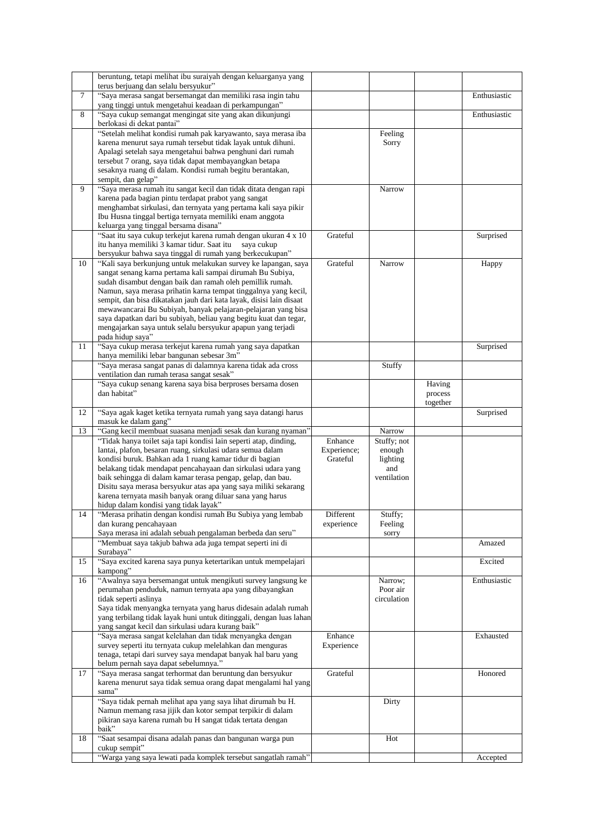|    | beruntung, tetapi melihat ibu suraiyah dengan keluarganya yang                                                                    |             |                       |          |              |
|----|-----------------------------------------------------------------------------------------------------------------------------------|-------------|-----------------------|----------|--------------|
|    | terus berjuang dan selalu bersyukur"                                                                                              |             |                       |          |              |
| 7  | "Saya merasa sangat bersemangat dan memiliki rasa ingin tahu                                                                      |             |                       |          | Enthusiastic |
|    | yang tinggi untuk mengetahui keadaan di perkampungan"                                                                             |             |                       |          |              |
| 8  | "Saya cukup semangat mengingat site yang akan dikunjungi                                                                          |             |                       |          | Enthusiastic |
|    | berlokasi di dekat pantai"<br>"Setelah melihat kondisi rumah pak karyawanto, saya merasa iba                                      |             | Feeling               |          |              |
|    | karena menurut saya rumah tersebut tidak layak untuk dihuni.                                                                      |             | Sorry                 |          |              |
|    | Apalagi setelah saya mengetahui bahwa penghuni dari rumah                                                                         |             |                       |          |              |
|    | tersebut 7 orang, saya tidak dapat membayangkan betapa                                                                            |             |                       |          |              |
|    | sesaknya ruang di dalam. Kondisi rumah begitu berantakan,                                                                         |             |                       |          |              |
|    | sempit, dan gelap"                                                                                                                |             |                       |          |              |
| 9  | "Saya merasa rumah itu sangat kecil dan tidak ditata dengan rapi                                                                  |             | Narrow                |          |              |
|    | karena pada bagian pintu terdapat prabot yang sangat                                                                              |             |                       |          |              |
|    | menghambat sirkulasi, dan ternyata yang pertama kali saya pikir                                                                   |             |                       |          |              |
|    | Ibu Husna tinggal bertiga ternyata memiliki enam anggota                                                                          |             |                       |          |              |
|    | keluarga yang tinggal bersama disana"                                                                                             |             |                       |          |              |
|    | "Saat itu saya cukup terkejut karena rumah dengan ukuran 4 x 10                                                                   | Grateful    |                       |          | Surprised    |
|    | itu hanya memiliki 3 kamar tidur. Saat itu<br>saya cukup                                                                          |             |                       |          |              |
|    | bersyukur bahwa saya tinggal di rumah yang berkecukupan"                                                                          |             |                       |          |              |
| 10 | "Kali saya berkunjung untuk melakukan survey ke lapangan, saya                                                                    | Grateful    | Narrow                |          | Happy        |
|    | sangat senang karna pertama kali sampai dirumah Bu Subiya,<br>sudah disambut dengan baik dan ramah oleh pemillik rumah.           |             |                       |          |              |
|    | Namun, saya merasa prihatin karna tempat tinggalnya yang kecil,                                                                   |             |                       |          |              |
|    | sempit, dan bisa dikatakan jauh dari kata layak, disisi lain disaat                                                               |             |                       |          |              |
|    | mewawancarai Bu Subiyah, banyak pelajaran-pelajaran yang bisa                                                                     |             |                       |          |              |
|    | saya dapatkan dari bu subiyah, beliau yang begitu kuat dan tegar,                                                                 |             |                       |          |              |
|    | mengajarkan saya untuk selalu bersyukur apapun yang terjadi                                                                       |             |                       |          |              |
|    | pada hidup saya"                                                                                                                  |             |                       |          |              |
| 11 | "Saya cukup merasa terkejut karena rumah yang saya dapatkan                                                                       |             |                       |          | Surprised    |
|    | hanya memiliki lebar bangunan sebesar 3m"                                                                                         |             |                       |          |              |
|    | "Saya merasa sangat panas di dalamnya karena tidak ada cross                                                                      |             | Stuffy                |          |              |
|    | ventilation dan rumah terasa sangat sesak"                                                                                        |             |                       |          |              |
|    | "Saya cukup senang karena saya bisa berproses bersama dosen                                                                       |             |                       | Having   |              |
|    | dan habitat"                                                                                                                      |             |                       | process  |              |
|    |                                                                                                                                   |             |                       | together |              |
| 12 | "Saya agak kaget ketika ternyata rumah yang saya datangi harus                                                                    |             |                       |          | Surprised    |
|    | masuk ke dalam gang"                                                                                                              |             |                       |          |              |
| 13 | "Gang kecil membuat suasana menjadi sesak dan kurang nyaman"<br>"Tidak hanya toilet saja tapi kondisi lain seperti atap, dinding, | Enhance     | Narrow<br>Stuffy; not |          |              |
|    | lantai, plafon, besaran ruang, sirkulasi udara semua dalam                                                                        | Experience; | enough                |          |              |
|    | kondisi buruk. Bahkan ada 1 ruang kamar tidur di bagian                                                                           | Grateful    | lighting              |          |              |
|    | belakang tidak mendapat pencahayaan dan sirkulasi udara yang                                                                      |             | and                   |          |              |
|    | baik sehingga di dalam kamar terasa pengap, gelap, dan bau.                                                                       |             | ventilation           |          |              |
|    | Disitu saya merasa bersyukur atas apa yang saya miliki sekarang                                                                   |             |                       |          |              |
|    | karena ternyata masih banyak orang diluar sana yang harus                                                                         |             |                       |          |              |
|    |                                                                                                                                   |             |                       |          |              |
| 14 | hidup dalam kondisi yang tidak layak"                                                                                             |             |                       |          |              |
|    | "Merasa prihatin dengan kondisi rumah Bu Subiya yang lembab                                                                       | Different   | Stuffy;               |          |              |
|    | dan kurang pencahayaan                                                                                                            | experience  | Feeling               |          |              |
|    | Saya merasa ini adalah sebuah pengalaman berbeda dan seru"                                                                        |             | sorry                 |          |              |
|    | "Membuat saya takjub bahwa ada juga tempat seperti ini di                                                                         |             |                       |          | Amazed       |
|    | Surabaya"                                                                                                                         |             |                       |          |              |
| 15 | "Saya excited karena saya punya ketertarikan untuk mempelajari                                                                    |             |                       |          | Excited      |
|    | kampong"                                                                                                                          |             |                       |          |              |
| 16 | "Awalnya saya bersemangat untuk mengikuti survey langsung ke<br>perumahan penduduk, namun ternyata apa yang dibayangkan           |             | Narrow;<br>Poor air   |          | Enthusiastic |
|    | tidak seperti aslinya                                                                                                             |             | circulation           |          |              |
|    | Saya tidak menyangka ternyata yang harus didesain adalah rumah                                                                    |             |                       |          |              |
|    | yang terbilang tidak layak huni untuk ditinggali, dengan luas lahan                                                               |             |                       |          |              |
|    | yang sangat kecil dan sirkulasi udara kurang baik"                                                                                |             |                       |          |              |
|    | "Saya merasa sangat kelelahan dan tidak menyangka dengan                                                                          | Enhance     |                       |          | Exhausted    |
|    | survey seperti itu ternyata cukup melelahkan dan menguras                                                                         | Experience  |                       |          |              |
|    | tenaga, tetapi dari survey saya mendapat banyak hal baru yang                                                                     |             |                       |          |              |
|    | belum pernah saya dapat sebelumnya."                                                                                              |             |                       |          |              |
| 17 | "Saya merasa sangat terhormat dan beruntung dan bersyukur                                                                         | Grateful    |                       |          | Honored      |
|    | karena menurut saya tidak semua orang dapat mengalami hal yang                                                                    |             |                       |          |              |
|    | sama"                                                                                                                             |             |                       |          |              |
|    | "Saya tidak pernah melihat apa yang saya lihat dirumah bu H.                                                                      |             | Dirty                 |          |              |
|    | Namun memang rasa jijik dan kotor sempat terpikir di dalam<br>pikiran saya karena rumah bu H sangat tidak tertata dengan          |             |                       |          |              |
|    | baik"                                                                                                                             |             |                       |          |              |
| 18 | "Saat sesampai disana adalah panas dan bangunan warga pun                                                                         |             | Hot                   |          |              |
|    | cukup sempit"<br>"Warga yang saya lewati pada komplek tersebut sangatlah ramah"                                                   |             |                       |          | Accepted     |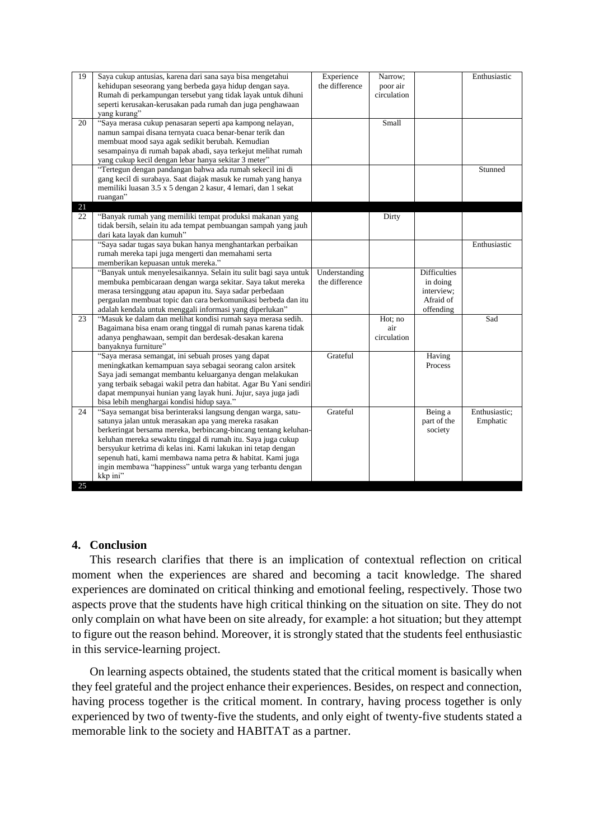| 19       | Saya cukup antusias, karena dari sana saya bisa mengetahui<br>kehidupan seseorang yang berbeda gaya hidup dengan saya.<br>Rumah di perkampungan tersebut yang tidak layak untuk dihuni                                                                                                                                                                                                                                                                             | Experience<br>the difference    | Narrow;<br>poor air<br>circulation |                                                                         | Enthusiastic              |
|----------|--------------------------------------------------------------------------------------------------------------------------------------------------------------------------------------------------------------------------------------------------------------------------------------------------------------------------------------------------------------------------------------------------------------------------------------------------------------------|---------------------------------|------------------------------------|-------------------------------------------------------------------------|---------------------------|
|          | seperti kerusakan-kerusakan pada rumah dan juga penghawaan<br>yang kurang"                                                                                                                                                                                                                                                                                                                                                                                         |                                 |                                    |                                                                         |                           |
| 20       | "Saya merasa cukup penasaran seperti apa kampong nelayan,<br>namun sampai disana ternyata cuaca benar-benar terik dan<br>membuat mood saya agak sedikit berubah. Kemudian<br>sesampainya di rumah bapak abadi, saya terkejut melihat rumah<br>yang cukup kecil dengan lebar hanya sekitar 3 meter"                                                                                                                                                                 |                                 | Small                              |                                                                         |                           |
| 21       | "Tertegun dengan pandangan bahwa ada rumah sekecil ini di<br>gang kecil di surabaya. Saat diajak masuk ke rumah yang hanya<br>memiliki luasan 3.5 x 5 dengan 2 kasur, 4 lemari, dan 1 sekat<br>ruangan"                                                                                                                                                                                                                                                            |                                 |                                    |                                                                         | Stunned                   |
| 22       | "Banyak rumah yang memiliki tempat produksi makanan yang<br>tidak bersih, selain itu ada tempat pembuangan sampah yang jauh<br>dari kata layak dan kumuh"                                                                                                                                                                                                                                                                                                          |                                 | Dirty                              |                                                                         |                           |
|          | "Saya sadar tugas saya bukan hanya menghantarkan perbaikan<br>rumah mereka tapi juga mengerti dan memahami serta<br>memberikan kepuasan untuk mereka."                                                                                                                                                                                                                                                                                                             |                                 |                                    |                                                                         | Enthusiastic              |
|          | "Banyak untuk menyelesaikannya. Selain itu sulit bagi saya untuk<br>membuka pembicaraan dengan warga sekitar. Saya takut mereka<br>merasa tersinggung atau apapun itu. Saya sadar perbedaan<br>pergaulan membuat topic dan cara berkomunikasi berbeda dan itu<br>adalah kendala untuk menggali informasi yang diperlukan"                                                                                                                                          | Understanding<br>the difference |                                    | <b>Difficulties</b><br>in doing<br>interview:<br>Afraid of<br>offending |                           |
| 23       | "Masuk ke dalam dan melihat kondisi rumah saya merasa sedih.<br>Bagaimana bisa enam orang tinggal di rumah panas karena tidak<br>adanya penghawaan, sempit dan berdesak-desakan karena<br>banyaknya furniture"                                                                                                                                                                                                                                                     |                                 | Hot; no<br>air<br>circulation      |                                                                         | Sad                       |
|          | "Saya merasa semangat, ini sebuah proses yang dapat<br>meningkatkan kemampuan saya sebagai seorang calon arsitek<br>Saya jadi semangat membantu keluarganya dengan melakukan<br>yang terbaik sebagai wakil petra dan habitat. Agar Bu Yani sendiri<br>dapat mempunyai hunian yang layak huni. Jujur, saya juga jadi<br>bisa lebih menghargai kondisi hidup saya."                                                                                                  | Grateful                        |                                    | Having<br>Process                                                       |                           |
| 24<br>25 | "Saya semangat bisa berinteraksi langsung dengan warga, satu-<br>satunya jalan untuk merasakan apa yang mereka rasakan<br>berkeringat bersama mereka, berbincang-bincang tentang keluhan-<br>keluhan mereka sewaktu tinggal di rumah itu. Saya juga cukup<br>bersyukur ketrima di kelas ini. Kami lakukan ini tetap dengan<br>sepenuh hati, kami membawa nama petra & habitat. Kami juga<br>ingin membawa "happiness" untuk warga yang terbantu dengan<br>kkp ini" | Grateful                        |                                    | Being a<br>part of the<br>society                                       | Enthusiastic;<br>Emphatic |

# **4. Conclusion**

This research clarifies that there is an implication of contextual reflection on critical moment when the experiences are shared and becoming a tacit knowledge. The shared experiences are dominated on critical thinking and emotional feeling, respectively. Those two aspects prove that the students have high critical thinking on the situation on site. They do not only complain on what have been on site already, for example: a hot situation; but they attempt to figure out the reason behind. Moreover, it is strongly stated that the students feel enthusiastic in this service-learning project.

On learning aspects obtained, the students stated that the critical moment is basically when they feel grateful and the project enhance their experiences. Besides, on respect and connection, having process together is the critical moment. In contrary, having process together is only experienced by two of twenty-five the students, and only eight of twenty-five students stated a memorable link to the society and HABITAT as a partner.